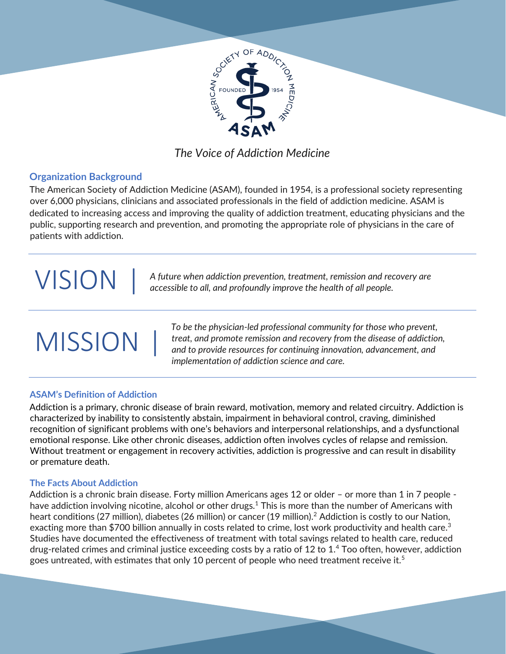

## *The Voice of Addiction Medicine*

## **Organization Background**

The American Society of Addiction Medicine (ASAM), founded in 1954, is a professional society representing over 6,000 physicians, clinicians and associated professionals in the field of addiction medicine. ASAM is dedicated to increasing access and improving the quality of addiction treatment, educating physicians and the public, supporting research and prevention, and promoting the appropriate role of physicians in the care of patients with addiction.

# **VISION**

*A future when addiction prevention, treatment, remission and recovery are accessible to all, and profoundly improve the health of all people.*

# **MISSION**

*To be the physician-led professional community for those who prevent, treat, and promote remission and recovery from the disease of addiction, and to provide resources for continuing innovation, advancement, and implementation of addiction science and care.*

## **ASAM's Definition of Addiction**

Addiction is a primary, chronic disease of brain reward, motivation, memory and related circuitry. Addiction is characterized by inability to consistently abstain, impairment in behavioral control, craving, diminished recognition of significant problems with one's behaviors and interpersonal relationships, and a dysfunctional emotional response. Like other chronic diseases, addiction often involves cycles of relapse and remission. Without treatment or engagement in recovery activities, addiction is progressive and can result in disability or premature death.

## **The Facts About Addiction**

Addiction is a chronic brain disease. Forty million Americans ages 12 or older - or more than 1 in 7 people have addiction involving nicotine, alcohol or other drugs.<sup>1</sup> This is more than the number of Americans with heart conditions (27 million), diabetes (26 million) or cancer (19 million).<sup>2</sup> Addiction is costly to our Nation, exacting more than \$700 billion annually in costs related to crime, lost work productivity and health care.<sup>3</sup> Studies have documented the effectiveness of treatment with total savings related to health care, reduced drug-related crimes and criminal justice exceeding costs by a ratio of 12 to 1.<sup>4</sup> Too often, however, addiction goes untreated, with estimates that only 10 percent of people who need treatment receive it.<sup>5</sup>